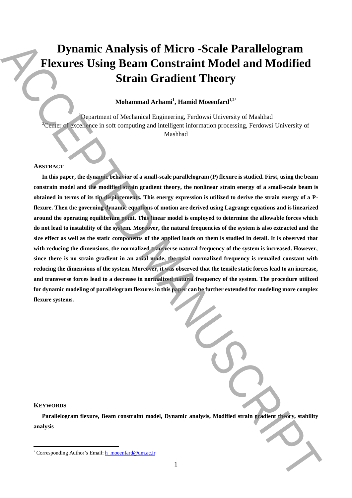# **Dynamic Analysis of Micro -Scale Parallelogram Flexures Using Beam Constraint Model and Modified Strain Gradient Theory**

## **Mohammad Arhami<sup>1</sup> , Hamid Moeenfard1,2**\*

<sup>1</sup>Department of Mechanical Engineering, Ferdowsi University of Mashhad <sup>2</sup>Center of excellence in soft computing and intelligent information processing, Ferdowsi University of Mashhad

#### **ABSTRACT**

**In this paper, the dynamic behavior of a small-scale parallelogram (P) flexure is studied. First, using the beam constrain model and the modified strain gradient theory, the nonlinear strain energy of a small-scale beam is obtained in terms of its tip displacements. This energy expression is utilized to derive the strain energy of a Pflexure. Then the governing dynamic equations of motion are derived using Lagrange equations and is linearized around the operating equilibrium point. This linear model is employed to determine the allowable forces which do not lead to instability of the system. Moreover, the natural frequencies of the system is also extracted and the size effect as well as the static components of the applied loads on them is studied in detail. It is observed that with reducing the dimensions, the normalized transverse natural frequency of the system is increased. However, since there is no strain gradient in an axial mode, the axial normalized frequency is remailed constant with reducing the dimensions of the system. Moreover, it was observed that the tensile static forces lead to an increase, and transverse forces lead to a decrease in normalized natural frequency of the system. The procedure utilized for dynamic modeling of parallelogram flexures in this paper can be further extended for modeling more complex flexure systems. Example Analysis of Micro-Scale Parallelogram <br>
Fermine Theorem Constraint Model and Modified<br>
Strain Gradient Theorem is the summer and the main at the main at the main at the summer of the summer and the summer and the** 

### **KEYWORDS**

 $\overline{a}$ 

**Parallelogram flexure, Beam constraint model, Dynamic analysis, Modified strain gradient theory, stability analysis**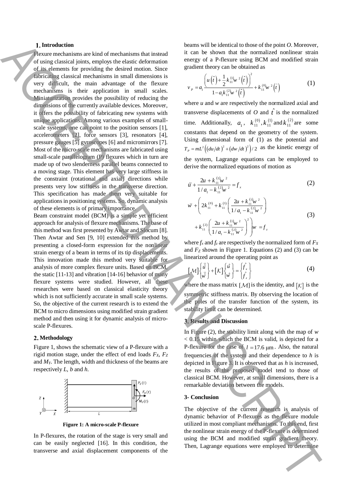#### **Introduction**

Flexure mechanisms are kind of mechanisms that instead of using classical joints, employs the elastic deformation of its elements for providing the desired motion. Since fabricating classical mechanisms in small dimensions is very difficult, the main advantage of the flexure mechanisms is their application in small scales. Miniaturization provides the possibility of reducing the dimensions of the currently available devices. Moreover, it offers the possibility of fabricating new systems with unique applications. Among various examples of smallscale systems, one can point to the position sensors [1], accelerometers [2], force sensors [3], resonators [4], pressure gauges [5] gyroscopes [6] and micromirrors [7]. Most of the micro-scale mechanisms are fabricated using small-scale parallelogram (P) flexures which in turn are made up of two slenderness parallel beams connected to a moving stage. This element has very large stiffness in the constraint (rotational and axial) directions while presents very low stiffness in the transverse direction. This specification has made them very suitable for applications in positioning systems. So, dynamic analysis of these elements is of primary importance. Therefore the continue of the bin state of the continue of the continue of the continue of the continue of the continue of the continue of the continue of the continue of the continue of the continue of the continue of th

Beam constraint model (BCM) is a simple yet efficient approach for analysis of flexure mechanisms. The base of this method was first presented by Awtar and Slocum [8]. Then Awtar and Sen [9, 10] extended this method by presenting a closed-form expression for the nonlinear strain energy of a beam in terms of its tip displacements. This innovation made this method very suitable for analysis of more complex flexure units. Based on BCM, the static [11-13] and vibration [14-16] behavior of many flexure systems were studied. However, all these researches were based on classical elasticity theory which is not sufficiently accurate in small scale systems. So, the objective of the current research is to extend the BCM to micro dimensions using modified strain gradient method and then using it for dynamic analysis of microscale P-flexures.

#### **Methodology**

Figure 1, shows the schematic view of a P-flexure with a rigid motion stage, under the effect of end loads *FX*, *F<sup>Z</sup>* and *MY*. The length, width and thickness of the beams are respectively *L*, *b* and *h*.



**Figure 1: A micro-scale P-flexure**

In P-flexures, the rotation of the stage is very small and can be easily neglected [16]. In this condition, the transverse and axial displacement components of the beams will be identical to those of the point *O*. Moreover, it can be shown that the normalized nonlinear strain energy of a P-flexure using BCM and modified strain gradient theory can be obtained as

$$
v_{P} = a_{1} \frac{\left(u\left(\hat{t}\right) + \frac{1}{2}k_{11}^{(1)}w^{2}\left(\hat{t}\right)\right)^{2}}{1 - a_{1}k_{11}^{(2)}w^{2}\left(\hat{t}\right)} + k_{11}^{(0)}w^{2}\left(\hat{t}\right)
$$
(1)

where *u* and *w* are respectively the normalized axial and transverse displacements of  $O$  and  $\hat{t}$  is the normalized time. Additionally,  $a_1$ ,  $k_{11}^{(0)}$ ,  $k_{11}^{(1)}$  and  $k_{11}^{(2)}$  are some constants that depend on the geometry of the system. Using dimensional form of (1) as the potential and  $T_p = mL^2 \left( \frac{du}{dt} \right)^2 + \left( \frac{dw}{dt} \right)^2 \right) / 2$  as the kinetic energy of the system, Lagrange equations can be employed to derive the normalized equations of motion as

$$
\ddot{u} + \frac{2u + k_{11}^{(1)}w^2}{1/a_1 - k_{11}^{(2)}w^2} = f_x
$$
 (2)

$$
\ddot{w} + \left(2k_{11}^{(0)} + k_{11}^{(1)} \left(\frac{2u + k_{11}^{(1)}w^{2}}{1/a_{1} - k_{11}^{(2)}w^{2}}\right) + k_{11}^{(2)} \left(\frac{2u + k_{11}^{(1)}w^{2}}{1/a_{1} - k_{11}^{(2)}w^{2}}\right)^{2}\right)w = f_{z}
$$
\n(3)

where  $f_x$  and  $f_z$  are respectively the normalized form of  $F_x$ and  $F_Z$  shown in Figure 1. Equations (2) and (3) can be linearized around the operating point as

$$
\left[\mathcal{M}\right]\left\{\begin{matrix} \ddot{u} \\ \ddot{w} \end{matrix}\right\} + \left[\mathcal{K}\right]\left\{\begin{matrix} \dot{u} \\ \dot{w} \end{matrix}\right\} = \left\{\begin{matrix} f_x \\ f_z \end{matrix}\right\} \tag{4}
$$

where the mass matrix  $[{\cal M}]$  is the identity, and  $[K]$  is the symmetric stiffness matrix. By observing the location of the poles of the transfer function of the system, its stability limit can be determined.

#### **Results and Discussion**

In Figure (2), the stability limit along with the map of *w* < 0.15 within which the BCM is valid, is depicted for a P-flexure for the case of  $l = 17.6 \text{ }\mu\text{m}$ . Also, the natural frequencies of the system and their dependence to *h* is depicted in Figure 3. It is observed that as *h* is increased, the results of the proposed model tend to those of classical BCM. However, at small dimensions, there is a remarkable deviation between the models.

#### **3- Conclusion**

The objective of the current research is analysis of dynamic behavior of P-flexures as the flexure module utilized in most compliant mechanisms. To this end, first the nonlinear strain energy of the P-flexure is determined using the BCM and modified strain gradient theory.